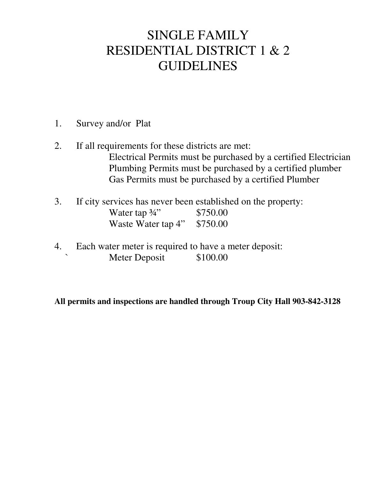# SINGLE FAMILY RESIDENTIAL DISTRICT 1 & 2 GUIDELINES

- 1. Survey and/or Plat
- 2. If all requirements for these districts are met: Electrical Permits must be purchased by a certified Electrician Plumbing Permits must be purchased by a certified plumber Gas Permits must be purchased by a certified Plumber
- 3. If city services has never been established on the property: Water tap <sup>3</sup>/<sub>4</sub>" \$750.00 Waste Water tap 4" \$750.00
- 4. Each water meter is required to have a meter deposit: Meter Deposit \$100.00

**All permits and inspections are handled through Troup City Hall 903-842-3128**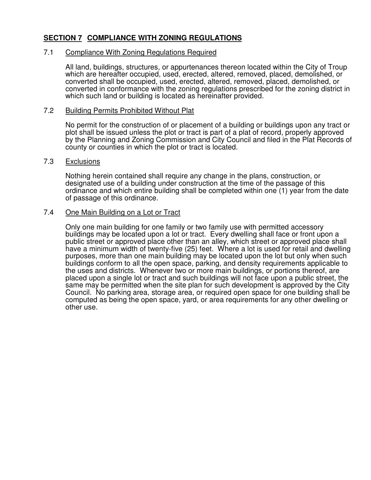# **SECTION 7 COMPLIANCE WITH ZONING REGULATIONS**

# 7.1 Compliance With Zoning Regulations Required

All land, buildings, structures, or appurtenances thereon located within the City of Troup which are hereafter occupied, used, erected, altered, removed, placed, demolished, or converted shall be occupied, used, erected, altered, removed, placed, demolished, or converted in conformance with the zoning regulations prescribed for the zoning district in which such land or building is located as hereinafter provided.

# 7.2 Building Permits Prohibited Without Plat

No permit for the construction of or placement of a building or buildings upon any tract or plot shall be issued unless the plot or tract is part of a plat of record, properly approved by the Planning and Zoning Commission and City Council and filed in the Plat Records of county or counties in which the plot or tract is located.

# 7.3 Exclusions

Nothing herein contained shall require any change in the plans, construction, or designated use of a building under construction at the time of the passage of this ordinance and which entire building shall be completed within one (1) year from the date of passage of this ordinance.

# 7.4 One Main Building on a Lot or Tract

Only one main building for one family or two family use with permitted accessory buildings may be located upon a lot or tract. Every dwelling shall face or front upon a public street or approved place other than an alley, which street or approved place shall have a minimum width of twenty-five (25) feet. Where a lot is used for retail and dwelling purposes, more than one main building may be located upon the lot but only when such buildings conform to all the open space, parking, and density requirements applicable to the uses and districts. Whenever two or more main buildings, or portions thereof, are placed upon a single lot or tract and such buildings will not face upon a public street, the same may be permitted when the site plan for such development is approved by the City Council. No parking area, storage area, or required open space for one building shall be computed as being the open space, yard, or area requirements for any other dwelling or other use.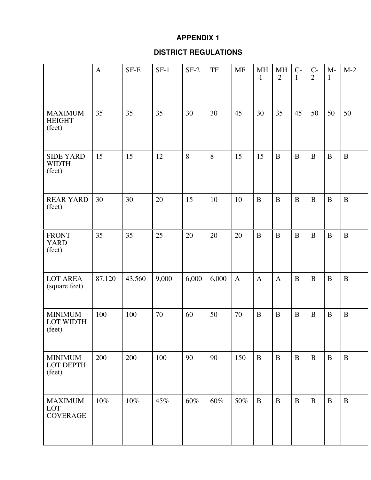# **APPENDIX 1**

# **DISTRICT REGULATIONS**

|                                            | $\mathbf{A}$ | SF-E   | $SF-1$ | $SF-2$ | $\ensuremath{\mathsf{T}}\ensuremath{\mathsf{F}}$ | <b>MF</b>    | MH<br>$-1$   | MH<br>$-2$   | $C-$<br>$\mathbf{1}$ | $C-$<br>$\overline{2}$ | $M-$<br>$\mathbf{1}$ | $M-2$        |
|--------------------------------------------|--------------|--------|--------|--------|--------------------------------------------------|--------------|--------------|--------------|----------------------|------------------------|----------------------|--------------|
| <b>MAXIMUM</b><br><b>HEIGHT</b><br>(feet)  | 35           | 35     | 35     | 30     | 30                                               | 45           | 30           | 35           | 45                   | 50                     | 50                   | 50           |
| <b>SIDE YARD</b><br><b>WIDTH</b><br>(feet) | 15           | 15     | 12     | 8      | 8                                                | 15           | 15           | $\, {\bf B}$ | $\bf{B}$             | $\, {\bf B}$           | $\, {\bf B}$         | $\, {\bf B}$ |
| <b>REAR YARD</b><br>(feet)                 | 30           | 30     | 20     | 15     | 10                                               | 10           | $\, {\bf B}$ | $\, {\bf B}$ | $\bf{B}$             | $\, {\bf B}$           | $\, {\bf B}$         | $\, {\bf B}$ |
| <b>FRONT</b><br><b>YARD</b><br>(feet)      | 35           | 35     | 25     | 20     | 20                                               | 20           | $\, {\bf B}$ | $\bf{B}$     | $\bf{B}$             | $\, {\bf B}$           | $\bf{B}$             | $\, {\bf B}$ |
| <b>LOT AREA</b><br>(square feet)           | 87,120       | 43,560 | 9,000  | 6,000  | 6,000                                            | $\mathbf{A}$ | $\mathbf{A}$ | $\mathbf{A}$ | $\bf{B}$             | $\, {\bf B}$           | $\, {\bf B}$         | $\bf{B}$     |
| <b>MINIMUM</b><br>LOT WIDTH<br>(feet)      | 100          | 100    | 70     | 60     | 50                                               | 70           | $\, {\bf B}$ | $\bf{B}$     | $\, {\bf B}$         | $\, {\bf B}$           | $\, {\bf B}$         | $\bf{B}$     |
| <b>MINIMUM</b><br>LOT DEPTH<br>(feet)      | 200          | 200    | 100    | 90     | 90                                               | 150          | $\, {\bf B}$ | $\, {\bf B}$ | $\bf{B}$             | $\, {\bf B}$           | $\bf{B}$             | $\, {\bf B}$ |
| <b>MAXIMUM</b><br>LOT<br><b>COVERAGE</b>   | $10\%$       | 10%    | 45%    | 60%    | 60%                                              | 50%          | $\, {\bf B}$ | $\bf{B}$     | $\bf{B}$             | $\, {\bf B}$           | $\bf{B}$             | $\bf{B}$     |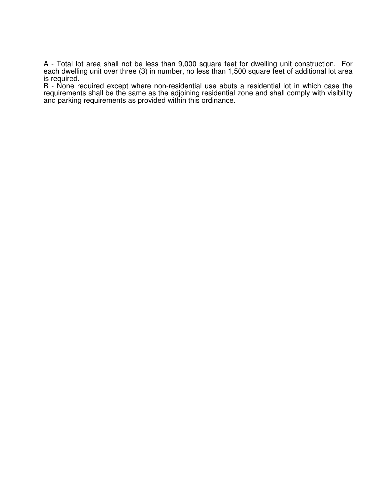A - Total lot area shall not be less than 9,000 square feet for dwelling unit construction. For each dwelling unit over three (3) in number, no less than 1,500 square feet of additional lot area is required.

B - None required except where non-residential use abuts a residential lot in which case the requirements shall be the same as the adjoining residential zone and shall comply with visibility and parking requirements as provided within this ordinance.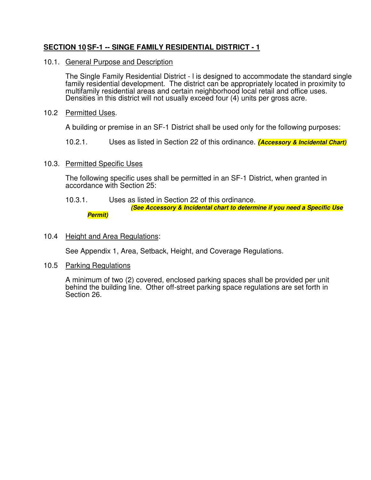# **SECTION 10 SF-1 -- SINGE FAMILY RESIDENTIAL DISTRICT - 1**

## 10.1. General Purpose and Description

The Single Family Residential District - l is designed to accommodate the standard single family residential development. The district can be appropriately located in proximity to multifamily residential areas and certain neighborhood local retail and office uses. Densities in this district will not usually exceed four (4) units per gross acre.

## 10.2 Permitted Uses.

A building or premise in an SF-1 District shall be used only for the following purposes:

10.2.1. Uses as listed in Section 22 of this ordinance. **(Accessory & Incidental Chart)** 

## 10.3. Permitted Specific Uses

The following specific uses shall be permitted in an SF-1 District, when granted in accordance with Section 25:

10.3.1. Uses as listed in Section 22 of this ordinance.

 **(See Accessory & Incidental chart to determine if you need a Specific Use Permit)** 

## 10.4 Height and Area Regulations:

See Appendix 1, Area, Setback, Height, and Coverage Regulations.

## 10.5 Parking Regulations

A minimum of two (2) covered, enclosed parking spaces shall be provided per unit behind the building line. Other off-street parking space regulations are set forth in Section 26.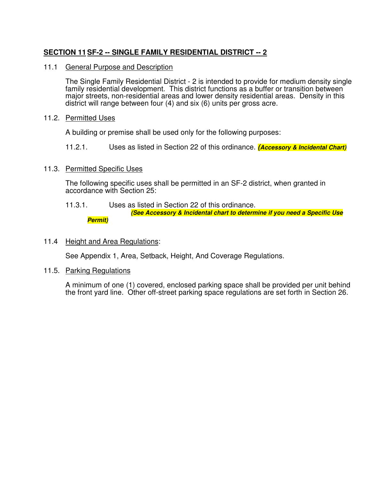# **SECTION 11 SF-2 -- SINGLE FAMILY RESIDENTIAL DISTRICT -- 2**

#### 11.1 General Purpose and Description

The Single Family Residential District - 2 is intended to provide for medium density single family residential development. This district functions as a buffer or transition between major streets, non-residential areas and lower density residential areas. Density in this district will range between four (4) and six (6) units per gross acre.

#### 11.2. Permitted Uses

A building or premise shall be used only for the following purposes:

11.2.1. Uses as listed in Section 22 of this ordinance. **(Accessory & Incidental Chart)**

## 11.3. Permitted Specific Uses

The following specific uses shall be permitted in an SF-2 district, when granted in accordance with Section 25:

# 11.3.1. Uses as listed in Section 22 of this ordinance.

 **(See Accessory & Incidental chart to determine if you need a Specific Use Permit)** 

## 11.4 Height and Area Regulations:

See Appendix 1, Area, Setback, Height, And Coverage Regulations.

#### 11.5. Parking Regulations

A minimum of one (1) covered, enclosed parking space shall be provided per unit behind the front yard line. Other off-street parking space regulations are set forth in Section 26.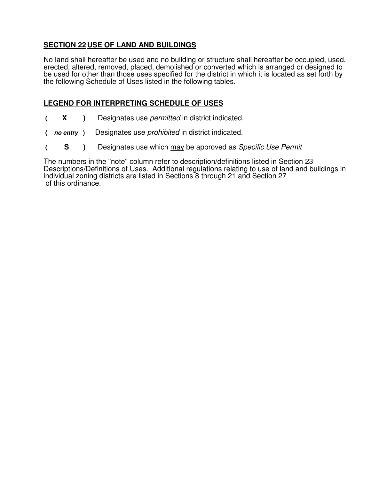# **SECTION 22 USE OF LAND AND BUILDINGS**

No land shall hereafter be used and no building or structure shall hereafter be occupied, used, erected, altered, removed, placed, demolished or converted which is arranged or designed to be used for other than those uses specified for the district in which it is located as set forth by the following Schedule of Uses listed in the following tables.

## **LEGEND FOR INTERPRETING SCHEDULE OF USES**

- **( X )** Designates use permitted in district indicated.
- **( no entry )** Designates use prohibited in district indicated.
- **( S )** Designates use which may be approved as Specific Use Permit

The numbers in the "note" column refer to description/definitions listed in Section 23 Descriptions/Definitions of Uses. Additional regulations relating to use of land and buildings in individual zoning districts are listed in Sections 8 through 21 and Section 27 of this ordinance.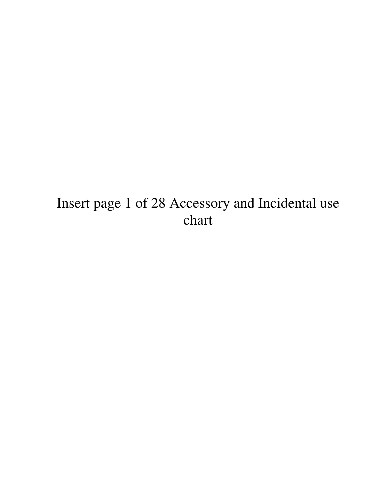# Insert page 1 of 28 Accessory and Incidental use chart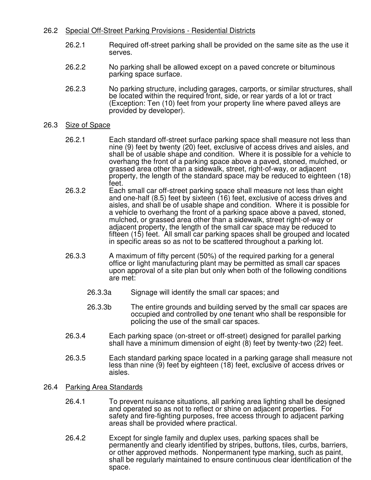## 26.2 Special Off-Street Parking Provisions - Residential Districts

- 26.2.1 Required off-street parking shall be provided on the same site as the use it serves.
- 26.2.2 No parking shall be allowed except on a paved concrete or bituminous parking space surface.
- 26.2.3 No parking structure, including garages, carports, or similar structures, shall be located within the required front, side, or rear yards of a lot or tract (Exception: Ten (10) feet from your property line where paved alleys are provided by developer).

#### 26.3 Size of Space

- 26.2.1 Each standard off-street surface parking space shall measure not less than nine (9) feet by twenty (20) feet, exclusive of access drives and aisles, and shall be of usable shape and condition. Where it is possible for a vehicle to overhang the front of a parking space above a paved, stoned, mulched, or grassed area other than a sidewalk, street, right-of-way, or adjacent property, the length of the standard space may be reduced to eighteen (18) feet.
- 26.3.2 Each small car off-street parking space shall measure not less than eight and one-half (8.5) feet by sixteen (16) feet, exclusive of access drives and aisles, and shall be of usable shape and condition. Where it is possible for a vehicle to overhang the front of a parking space above a paved, stoned, mulched, or grassed area other than a sidewalk, street right-of-way or adjacent property, the length of the small car space may be reduced to fifteen (15) feet. All small car parking spaces shall be grouped and located in specific areas so as not to be scattered throughout a parking lot.
- 26.3.3 A maximum of fifty percent (50%) of the required parking for a general office or light manufacturing plant may be permitted as small car spaces upon approval of a site plan but only when both of the following conditions are met:
	- 26.3.3a Signage will identify the small car spaces; and
	- 26.3.3b The entire grounds and building served by the small car spaces are occupied and controlled by one tenant who shall be responsible for policing the use of the small car spaces.
- 26.3.4 Each parking space (on-street or off-street) designed for parallel parking shall have a minimum dimension of eight (8) feet by twenty-two (22) feet.
- 26.3.5 Each standard parking space located in a parking garage shall measure not less than nine (9) feet by eighteen (18) feet, exclusive of access drives or aisles.
- 26.4 Parking Area Standards
	- 26.4.1 To prevent nuisance situations, all parking area lighting shall be designed and operated so as not to reflect or shine on adjacent properties. For safety and fire-fighting purposes, free access through to adjacent parking areas shall be provided where practical.
	- 26.4.2 Except for single family and duplex uses, parking spaces shall be permanently and clearly identified by stripes, buttons, tiles, curbs, barriers, or other approved methods. Nonpermanent type marking, such as paint, shall be regularly maintained to ensure continuous clear identification of the space.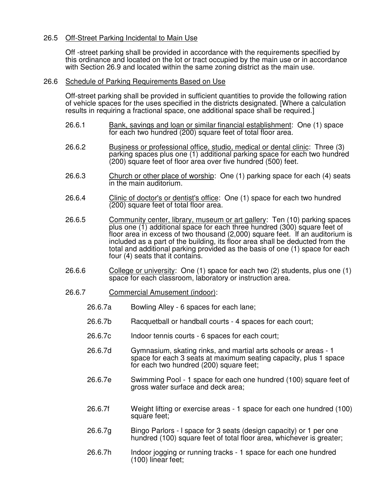## 26.5 Off-Street Parking Incidental to Main Use

Off -street parking shall be provided in accordance with the requirements specified by this ordinance and located on the lot or tract occupied by the main use or in accordance with Section 26.9 and located within the same zoning district as the main use.

#### 26.6 Schedule of Parking Requirements Based on Use

Off-street parking shall be provided in sufficient quantities to provide the following ration of vehicle spaces for the uses specified in the districts designated. [Where a calculation results in requiring a fractional space, one additional space shall be required.]

- 26.6.1 Bank, savings and loan or similar financial establishment: One (1) space for each two hundred (200) square feet of total floor area.
- 26.6.2 Business or professional office, studio, medical or dental clinic: Three (3) parking spaces plus one (1) additional parking space for each two hundred (200) square feet of floor area over five hundred (500) feet.
- 26.6.3 Church or other place of worship: One (1) parking space for each (4) seats in the main auditorium.
- 26.6.4 Clinic of doctor's or dentist's office: One (1) space for each two hundred (200) square feet of total floor area.
- 26.6.5 Community center, library, museum or art gallery: Ten (10) parking spaces plus one (1) additional space for each three hundred (300) square feet of floor area in excess of two thousand (2,000) square feet. If an auditorium is included as a part of the building, its floor area shall be deducted from the total and additional parking provided as the basis of one (1) space for each four (4) seats that it contains.
- 26.6.6 College or university: One (1) space for each two (2) students, plus one (1) space for each classroom, laboratory or instruction area.
- 26.6.7 Commercial Amusement (indoor):
	- 26.6.7a Bowling Alley 6 spaces for each lane;
	- 26.6.7b Racquetball or handball courts 4 spaces for each court;
	- 26.6.7c Indoor tennis courts 6 spaces for each court;
	- 26.6.7d Gymnasium, skating rinks, and martial arts schools or areas 1 space for each 3 seats at maximum seating capacity, plus 1 space for each two hundred (200) square feet;
	- 26.6.7e Swimming Pool 1 space for each one hundred (100) square feet of gross water surface and deck area;
	- 26.6.7f Weight lifting or exercise areas 1 space for each one hundred (100) square feet;
	- 26.6.7g Bingo Parlors l space for 3 seats (design capacity) or 1 per one hundred (100) square feet of total floor area, whichever is greater;
	- 26.6.7h Indoor jogging or running tracks 1 space for each one hundred (100) linear feet;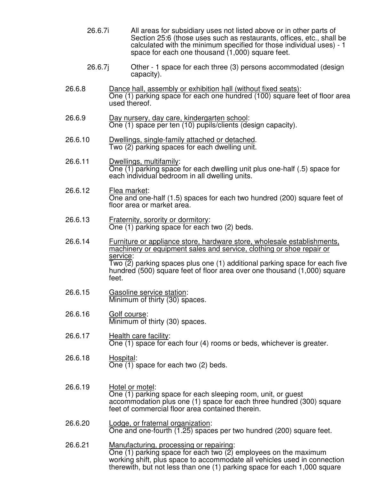- 26.6.7i All areas for subsidiary uses not listed above or in other parts of Section 25:6 (those uses such as restaurants, offices, etc., shall be calculated with the minimum specified for those individual uses) - 1 space for each one thousand (1,000) square feet.
- 26.6.7j Other 1 space for each three (3) persons accommodated (design capacity).
- 26.6.8 Dance hall, assembly or exhibition hall (without fixed seats): One (1) parking space for each one hundred (100) square feet of floor area used thereof.
- 26.6.9 Day nursery, day care, kindergarten school: One (1) space per ten (10) pupils/clients (design capacity).
- 26.6.10 Dwellings, single-family attached or detached. Two (2) parking spaces for each dwelling unit.
- 26.6.11 Dwellings, multifamily: One (1) parking space for each dwelling unit plus one-half (.5) space for each individual bedroom in all dwelling units.
- 26.6.12 Flea market: One and one-half (1.5) spaces for each two hundred (200) square feet of floor area or market area.
- 26.6.13 Fraternity, sorority or dormitory: One (1) parking space for each two (2) beds.
- 26.6.14 Furniture or appliance store, hardware store, wholesale establishments, machinery or equipment sales and service, clothing or shoe repair or service: Two (2) parking spaces plus one (1) additional parking space for each five hundred (500) square feet of floor area over one thousand (1,000) square feet.
- 26.6.15 Gasoline service station: Minimum of thirty (30) spaces.
- 26.6.16 Golf course: Minimum of thirty (30) spaces.
- 26.6.17 Health care facility: One (1) space for each four (4) rooms or beds, whichever is greater.
- 26.6.18 Hospital: One (1) space for each two (2) beds.
- 26.6.19 Hotel or motel: One (1) parking space for each sleeping room, unit, or guest accommodation plus one (1) space for each three hundred (300) square feet of commercial floor area contained therein.
- 26.6.20 Lodge, or fraternal organization: One and one-fourth (1.25) spaces per two hundred (200) square feet.
- 26.6.21 Manufacturing, processing or repairing: One (1) parking space for each two (2) employees on the maximum working shift, plus space to accommodate all vehicles used in connection therewith, but not less than one (1) parking space for each 1,000 square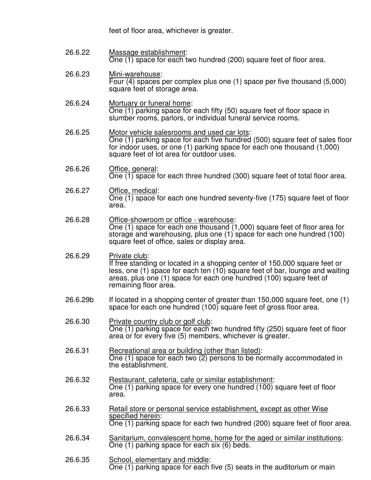feet of floor area, whichever is greater.

26.6.22 Massage establishment: One (1) space for each two hundred (200) square feet of floor area.

#### 26.6.23 Mini-warehouse: Four (4) spaces per complex plus one (1) space per five thousand (5,000) square feet of storage area.

- 26.6.24 Mortuary or funeral home: One (1) parking space for each fifty (50) square feet of floor space in slumber rooms, parlors, or individual funeral service rooms.
- 26.6.25 Motor vehicle salesrooms and used car lots: One (1) parking space for each five hundred (500) square feet of sales floor for indoor uses, or one (1) parking space for each one thousand (1,000) square feet of lot area for outdoor uses.
- 26.6.26 Office, general: One (1) space for each three hundred (300) square feet of total floor area.
- 26.6.27 Office, medical: One (1) space for each one hundred seventy-five (175) square feet of floor area.
- 26.6.28 Office-showroom or office warehouse: One (1) space for each one thousand (1,000) square feet of floor area for storage and warehousing, plus one (1) space for each one hundred (100) square feet of office, sales or display area.
- 26.6.29 Private club: If free standing or located in a shopping center of 150,000 square feet or less, one (1) space for each ten (10) square feet of bar, lounge and waiting areas, plus one (1) space for each one hundred (100) square feet of remaining floor area.
- 26.6.29b If located in a shopping center of greater than 150,000 square feet, one (1) space for each one hundred (100) square feet of gross floor area.
- 26.6.30 Private country club or golf club: One (1) parking space for each two hundred fifty (250) square feet of floor area or for every five (5) members, whichever is greater.
- 26.6.31 Recreational area or building (other than listed): One (1) space for each two (2) persons to be normally accommodated in the establishment.
- 26.6.32 Restaurant, cafeteria, cafe or similar establishment: One (1) parking space for every one hundred (100) square feet of floor area.
- 26.6.33 Retail store or personal service establishment, except as other Wise specified herein: One (1) parking space for each two hundred (200) square feet of floor area.
- 26.6.34 Sanitarium, convalescent home, home for the aged or similar institutions: One (1) parking space for each six (6) beds.
- 26.6.35 School, elementary and middle: One (1) parking space for each five (5) seats in the auditorium or main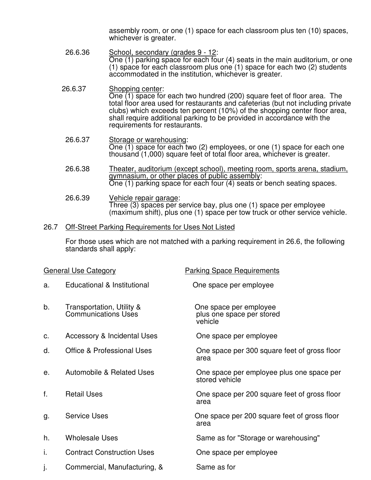assembly room, or one (1) space for each classroom plus ten (10) spaces, whichever is greater.

- 26.6.36 School, secondary (grades 9 12: One (1) parking space for each four (4) seats in the main auditorium, or one (1) space for each classroom plus one (1) space for each two (2) students accommodated in the institution, whichever is greater.
- 26.6.37 Shopping center: One (1) space for each two hundred (200) square feet of floor area. The total floor area used for restaurants and cafeterias (but not including private clubs) which exceeds ten percent (10%) of the shopping center floor area, shall require additional parking to be provided in accordance with the requirements for restaurants.
- 26.6.37 Storage or warehousing: One (1) space for each two (2) employees, or one (1) space for each one thousand (1,000) square feet of total floor area, whichever is greater.
- 26.6.38 Theater, auditorium (except school), meeting room, sports arena, stadium, gymnasium, or other places of public assembly: One (1) parking space for each four (4) seats or bench seating spaces.
- 26.6.39 Vehicle repair garage: Three (3) spaces per service bay, plus one (1) space per employee (maximum shift), plus one (1) space per tow truck or other service vehicle.

#### 26.7 Off-Street Parking Requirements for Uses Not Listed

For those uses which are not matched with a parking requirement in 26.6, the following standards shall apply:

|    | <b>General Use Category</b>                             | <b>Parking Space Requirements</b>                              |
|----|---------------------------------------------------------|----------------------------------------------------------------|
| a. | Educational & Institutional                             | One space per employee                                         |
| b. | Transportation, Utility &<br><b>Communications Uses</b> | One space per employee<br>plus one space per stored<br>vehicle |
| C. | <b>Accessory &amp; Incidental Uses</b>                  | One space per employee                                         |
| d. | <b>Office &amp; Professional Uses</b>                   | One space per 300 square feet of gross floor<br>area           |
| е. | Automobile & Related Uses                               | One space per employee plus one space per<br>stored vehicle    |
| f. | <b>Retail Uses</b>                                      | One space per 200 square feet of gross floor<br>area           |
| g. | <b>Service Uses</b>                                     | One space per 200 square feet of gross floor<br>area           |
| h. | <b>Wholesale Uses</b>                                   | Same as for "Storage or warehousing"                           |
| i. | <b>Contract Construction Uses</b>                       | One space per employee                                         |
| J. | Commercial, Manufacturing, &                            | Same as for                                                    |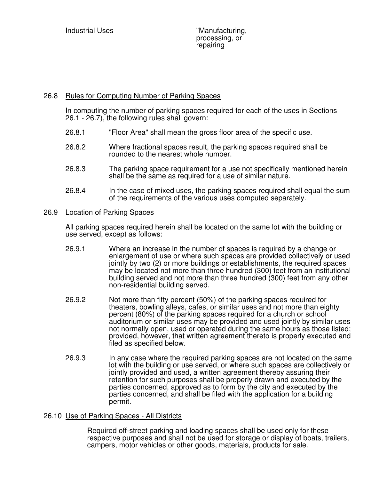## 26.8 Rules for Computing Number of Parking Spaces

In computing the number of parking spaces required for each of the uses in Sections 26.1 - 26.7), the following rules shall govern:

- 26.8.1 "Floor Area" shall mean the gross floor area of the specific use.
- 26.8.2 Where fractional spaces result, the parking spaces required shall be rounded to the nearest whole number.
- 26.8.3 The parking space requirement for a use not specifically mentioned herein shall be the same as required for a use of similar nature.
- 26.8.4 In the case of mixed uses, the parking spaces required shall equal the sum of the requirements of the various uses computed separately.

#### 26.9 Location of Parking Spaces

All parking spaces required herein shall be located on the same lot with the building or use served, except as follows:

- 26.9.1 Where an increase in the number of spaces is required by a change or enlargement of use or where such spaces are provided collectively or used jointly by two (2) or more buildings or establishments, the required spaces may be located not more than three hundred (300) feet from an institutional building served and not more than three hundred (300) feet from any other non-residential building served.
- 26.9.2 Not more than fifty percent (50%) of the parking spaces required for theaters, bowling alleys, cafes, or similar uses and not more than eighty percent (80%) of the parking spaces required for a church or school auditorium or similar uses may be provided and used jointly by similar uses not normally open, used or operated during the same hours as those listed; provided, however, that written agreement thereto is properly executed and filed as specified below.
- 26.9.3 In any case where the required parking spaces are not located on the same lot with the building or use served, or where such spaces are collectively or jointly provided and used, a written agreement thereby assuring their retention for such purposes shall be properly drawn and executed by the parties concerned, approved as to form by the city and executed by the parties concerned, and shall be filed with the application for a building permit.

## 26.10 Use of Parking Spaces - All Districts

Required off-street parking and loading spaces shall be used only for these respective purposes and shall not be used for storage or display of boats, trailers, campers, motor vehicles or other goods, materials, products for sale.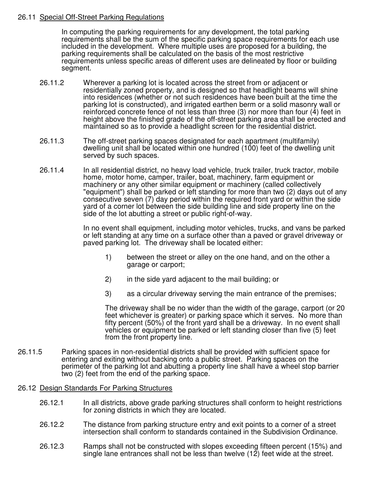## 26.11 Special Off-Street Parking Regulations

In computing the parking requirements for any development, the total parking requirements shall be the sum of the specific parking space requirements for each use included in the development. Where multiple uses are proposed for a building, the parking requirements shall be calculated on the basis of the most restrictive requirements unless specific areas of different uses are delineated by floor or building segment.

- 26.11.2 Wherever a parking lot is located across the street from or adjacent or residentially zoned property, and is designed so that headlight beams will shine into residences (whether or not such residences have been built at the time the parking lot is constructed), and irrigated earthen berm or a solid masonry wall or reinforced concrete fence of not less than three (3) nor more than four (4) feet in height above the finished grade of the off-street parking area shall be erected and maintained so as to provide a headlight screen for the residential district.
- 26.11.3 The off-street parking spaces designated for each apartment (multifamily) dwelling unit shall be located within one hundred (100) feet of the dwelling unit served by such spaces.
- 26.11.4 In all residential district, no heavy load vehicle, truck trailer, truck tractor, mobile home, motor home, camper, trailer, boat, machinery, farm equipment or machinery or any other similar equipment or machinery (called collectively "equipment") shall be parked or left standing for more than two (2) days out of any consecutive seven (7) day period within the required front yard or within the side yard of a corner lot between the side building line and side property line on the side of the lot abutting a street or public right-of-way.

In no event shall equipment, including motor vehicles, trucks, and vans be parked or left standing at any time on a surface other than a paved or gravel driveway or paved parking lot. The driveway shall be located either:

- 1) between the street or alley on the one hand, and on the other a garage or carport;
- 2) in the side yard adjacent to the mail building; or
- 3) as a circular driveway serving the main entrance of the premises;

The driveway shall be no wider than the width of the garage, carport (or 20 feet whichever is greater) or parking space which it serves. No more than fifty percent (50%) of the front yard shall be a driveway. In no event shall vehicles or equipment be parked or left standing closer than five (5) feet from the front property line.

26.11.5 Parking spaces in non-residential districts shall be provided with sufficient space for entering and exiting without backing onto a public street. Parking spaces on the perimeter of the parking lot and abutting a property line shall have a wheel stop barrier two (2) feet from the end of the parking space.

#### 26.12 Design Standards For Parking Structures

- 26.12.1 In all districts, above grade parking structures shall conform to height restrictions for zoning districts in which they are located.
- 26.12.2 The distance from parking structure entry and exit points to a corner of a street intersection shall conform to standards contained in the Subdivision Ordinance.
- 26.12.3 Ramps shall not be constructed with slopes exceeding fifteen percent (15%) and single lane entrances shall not be less than twelve (12) feet wide at the street.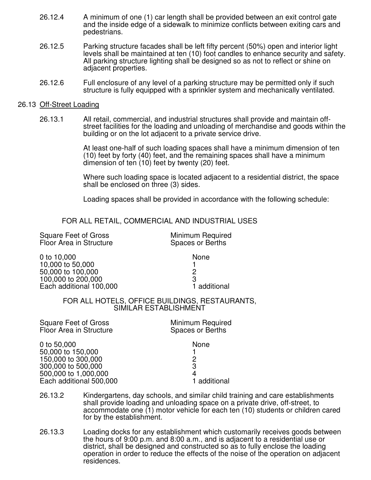- 26.12.4 A minimum of one (1) car length shall be provided between an exit control gate and the inside edge of a sidewalk to minimize conflicts between exiting cars and pedestrians.
- 26.12.5 Parking structure facades shall be left fifty percent (50%) open and interior light levels shall be maintained at ten (10) foot candles to enhance security and safety. All parking structure lighting shall be designed so as not to reflect or shine on adjacent properties.
- 26.12.6 Full enclosure of any level of a parking structure may be permitted only if such structure is fully equipped with a sprinkler system and mechanically ventilated.

#### 26.13 Off-Street Loading

26.13.1 All retail, commercial, and industrial structures shall provide and maintain offstreet facilities for the loading and unloading of merchandise and goods within the building or on the lot adjacent to a private service drive.

> At least one-half of such loading spaces shall have a minimum dimension of ten (10) feet by forty (40) feet, and the remaining spaces shall have a minimum dimension of ten (10) feet by twenty (20) feet.

> Where such loading space is located adjacent to a residential district, the space shall be enclosed on three (3) sides.

Loading spaces shall be provided in accordance with the following schedule:

FOR ALL RETAIL, COMMERCIAL AND INDUSTRIAL USES

Square Feet of Gross Minimum Required<br>
Floor Area in Structure Spaces or Berths Floor Area in Structure 0 to 10,000 None 10,000 to 50,000 1 50,000 to 100,000 2 100,000 to 200,000<br>
Each additional 100,000<br>
1 additional Each additional 100,000 FOR ALL HOTELS, OFFICE BUILDINGS, RESTAURANTS, SIMILAR ESTABLISHMENT Square Feet of Gross Minimum Required<br>
Floor Area in Structure Spaces or Berths Floor Area in Structure

0 to 50,000 None 50,000 to 150,000 1 150,000 to 300,000 2 300,000 to 500,000 3 500,000 to 1,000,000 4 Each additional 500,000

- 26.13.2 Kindergartens, day schools, and similar child training and care establishments shall provide loading and unloading space on a private drive, off-street, to accommodate one (1) motor vehicle for each ten (10) students or children cared for by the establishment.
- 26.13.3 Loading docks for any establishment which customarily receives goods between the hours of 9:00 p.m. and 8:00 a.m., and is adjacent to a residential use or district, shall be designed and constructed so as to fully enclose the loading operation in order to reduce the effects of the noise of the operation on adjacent residences.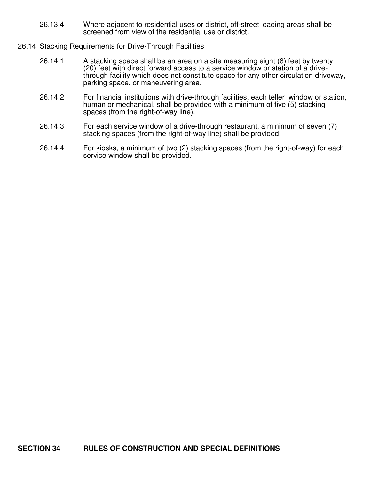26.13.4 Where adjacent to residential uses or district, off-street loading areas shall be screened from view of the residential use or district.

#### 26.14 Stacking Requirements for Drive-Through Facilities

- 26.14.1 A stacking space shall be an area on a site measuring eight (8) feet by twenty (20) feet with direct forward access to a service window or station of a drivethrough facility which does not constitute space for any other circulation driveway, parking space, or maneuvering area.
- 26.14.2 For financial institutions with drive-through facilities, each teller window or station, human or mechanical, shall be provided with a minimum of five (5) stacking spaces (from the right-of-way line).
- 26.14.3 For each service window of a drive-through restaurant, a minimum of seven (7) stacking spaces (from the right-of-way line) shall be provided.
- 26.14.4 For kiosks, a minimum of two (2) stacking spaces (from the right-of-way) for each service window shall be provided.

# **SECTION 34 RULES OF CONSTRUCTION AND SPECIAL DEFINITIONS**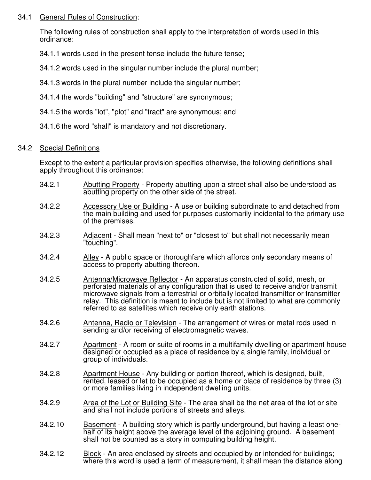## 34.1 General Rules of Construction:

The following rules of construction shall apply to the interpretation of words used in this ordinance:

- 34.1.1 words used in the present tense include the future tense;
- 34.1.2 words used in the singular number include the plural number;
- 34.1.3 words in the plural number include the singular number;
- 34.1.4 the words "building" and "structure" are synonymous;
- 34.1.5 the words "lot", "plot" and "tract" are synonymous; and
- 34.1.6 the word "shall" is mandatory and not discretionary.

# 34.2 Special Definitions

Except to the extent a particular provision specifies otherwise, the following definitions shall apply throughout this ordinance:

- 34.2.1 Abutting Property Property abutting upon a street shall also be understood as abutting property on the other side of the street.
- 34.2.2 Accessory Use or Building A use or building subordinate to and detached from the main building and used for purposes customarily incidental to the primary use of the premises.
- 34.2.3 Adjacent Shall mean "next to" or "closest to" but shall not necessarily mean "touching".
- 34.2.4 Alley A public space or thoroughfare which affords only secondary means of access to property abutting thereon.
- 34.2.5 Antenna/Microwave Reflector An apparatus constructed of solid, mesh, or perforated materials of any configuration that is used to receive and/or transmit microwave signals from a terrestrial or orbitally located transmitter or transmitter relay. This definition is meant to include but is not limited to what are commonly referred to as satellites which receive only earth stations.
- 34.2.6 Antenna, Radio or Television The arrangement of wires or metal rods used in sending and/or receiving of electromagnetic waves.
- 34.2.7 Apartment A room or suite of rooms in a multifamily dwelling or apartment house designed or occupied as a place of residence by a single family, individual or group of individuals.
- 34.2.8 Apartment House Any building or portion thereof, which is designed, built, rented, leased or let to be occupied as a home or place of residence by three (3) or more families living in independent dwelling units.
- 34.2.9 Area of the Lot or Building Site The area shall be the net area of the lot or site and shall not include portions of streets and alleys.
- 34.2.10 Basement A building story which is partly underground, but having a least onehalf of its height above the average level of the adjoining ground. A basement shall not be counted as a story in computing building height.
- 34.2.12 Block An area enclosed by streets and occupied by or intended for buildings; where this word is used a term of measurement, it shall mean the distance along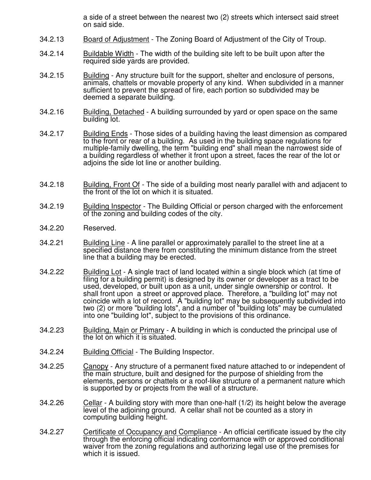a side of a street between the nearest two (2) streets which intersect said street on said side.

- 34.2.13 Board of Adjustment The Zoning Board of Adjustment of the City of Troup.
- 34.2.14 Buildable Width The width of the building site left to be built upon after the required side yards are provided.
- 34.2.15 Building Any structure built for the support, shelter and enclosure of persons, animals, chattels or movable property of any kind. When subdivided in a manner sufficient to prevent the spread of fire, each portion so subdivided may be deemed a separate building.
- 34.2.16 Building, Detached A building surrounded by yard or open space on the same building lot.
- 34.2.17 Building Ends Those sides of a building having the least dimension as compared to the front or rear of a building. As used in the building space regulations for multiple-family dwelling, the term "building end" shall mean the narrowest side of a building regardless of whether it front upon a street, faces the rear of the lot or adjoins the side lot line or another building.
- 34.2.18 Building, Front Of The side of a building most nearly parallel with and adjacent to the front of the lot on which it is situated.
- 34.2.19 Building Inspector The Building Official or person charged with the enforcement of the zoning and building codes of the city.
- 34.2.20 Reserved.
- 34.2.21 Building Line A line parallel or approximately parallel to the street line at a specified distance there from constituting the minimum distance from the street line that a building may be erected.
- 34.2.22 Building Lot A single tract of land located within a single block which (at time of filing for a building permit) is designed by its owner or developer as a tract to be used, developed, or built upon as a unit, under single ownership or control. It shall front upon a street or approved place. Therefore, a "building lot" may not coincide with a lot of record. A "building lot" may be subsequently subdivided into two (2) or more "building lots", and a number of "building lots" may be cumulated into one "building lot", subject to the provisions of this ordinance.
- 34.2.23 Building, Main or Primary A building in which is conducted the principal use of the lot on which it is situated.
- 34.2.24 Building Official The Building Inspector.
- 34.2.25 Canopy Any structure of a permanent fixed nature attached to or independent of the main structure, built and designed for the purpose of shielding from the elements, persons or chattels or a roof-like structure of a permanent nature which is supported by or projects from the wall of a structure.
- 34.2.26 Cellar A building story with more than one-half (1/2) its height below the average level of the adjoining ground. A cellar shall not be counted as a story in computing building height.
- 34.2.27 Certificate of Occupancy and Compliance An official certificate issued by the city through the enforcing official indicating conformance with or approved conditional waiver from the zoning regulations and authorizing legal use of the premises for which it is issued.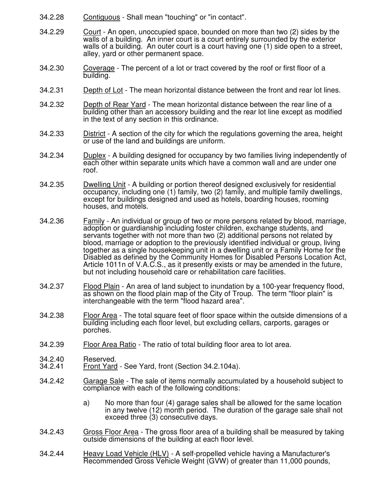- 34.2.28 Contiguous Shall mean "touching" or "in contact".
- 34.2.29 Court An open, unoccupied space, bounded on more than two (2) sides by the walls of a building. An inner court is a court entirely surrounded by the exterior walls of a building. An outer court is a court having one (1) side open to a street, alley, yard or other permanent space.
- 34.2.30 Coverage The percent of a lot or tract covered by the roof or first floor of a building.
- 34.2.31 Depth of Lot The mean horizontal distance between the front and rear lot lines.
- 34.2.32 Depth of Rear Yard The mean horizontal distance between the rear line of a building other than an accessory building and the rear lot line except as modified in the text of any section in this ordinance.
- 34.2.33 District A section of the city for which the regulations governing the area, height or use of the land and buildings are uniform.
- 34.2.34 Duplex A building designed for occupancy by two families living independently of each other within separate units which have a common wall and are under one roof.
- 34.2.35 Dwelling Unit A building or portion thereof designed exclusively for residential occupancy, including one (1) family, two (2) family, and multiple family dwellings, except for buildings designed and used as hotels, boarding houses, rooming houses, and motels.
- 34.2.36 Family An individual or group of two or more persons related by blood, marriage, adoption or guardianship including foster children, exchange students, and servants together with not more than two (2) additional persons not related by blood, marriage or adoption to the previously identified individual or group, living together as a single housekeeping unit in a dwelling unit or a Family Home for the Disabled as defined by the Community Homes for Disabled Persons Location Act, Article 1011n of V.A.C.S., as it presently exists or may be amended in the future, but not including household care or rehabilitation care facilities.
- 34.2.37 Flood Plain An area of land subject to inundation by a 100-year frequency flood, as shown on the flood plain map of the City of Troup. The term "floor plain" is interchangeable with the term "flood hazard area".
- 34.2.38 Floor Area The total square feet of floor space within the outside dimensions of a building including each floor level, but excluding cellars, carports, garages or porches.
- 34.2.39 Floor Area Ratio The ratio of total building floor area to lot area.
- 34.2.40 Reserved.<br>34.2.41 Front Yard
- **Front Yard See Yard, front (Section 34.2.104a).**
- 34.2.42 Garage Sale The sale of items normally accumulated by a household subject to compliance with each of the following conditions:
	- a) No more than four (4) garage sales shall be allowed for the same location in any twelve (12) month period. The duration of the garage sale shall not exceed three (3) consecutive days.
- 34.2.43 Gross Floor Area The gross floor area of a building shall be measured by taking outside dimensions of the building at each floor level.
- 34.2.44 Heavy Load Vehicle (HLV) A self-propelled vehicle having a Manufacturer's Recommended Gross Vehicle Weight (GVW) of greater than 11,000 pounds,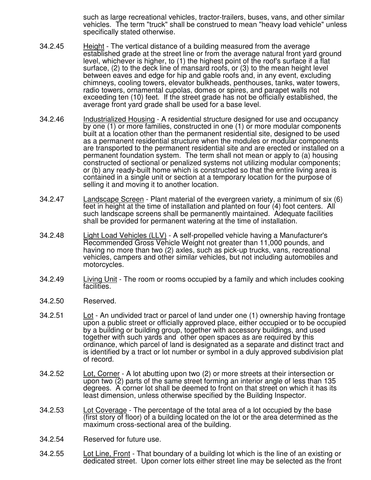such as large recreational vehicles, tractor-trailers, buses, vans, and other similar vehicles. The term "truck" shall be construed to mean "heavy load vehicle" unless specifically stated otherwise.

- 34.2.45 Height The vertical distance of a building measured from the average established grade at the street line or from the average natural front yard ground level, whichever is higher, to (1) the highest point of the roof's surface if a flat surface, (2) to the deck line of mansard roofs, or (3) to the mean height level between eaves and edge for hip and gable roofs and, in any event, excluding chimneys, cooling towers, elevator bulkheads, penthouses, tanks, water towers, radio towers, ornamental cupolas, domes or spires, and parapet walls not exceeding ten (10) feet. If the street grade has not be officially established, the average front yard grade shall be used for a base level.
- 34.2.46 Industrialized Housing A residential structure designed for use and occupancy by one (1) or more families, constructed in one (1) or more modular components built at a location other than the permanent residential site, designed to be used as a permanent residential structure when the modules or modular components are transported to the permanent residential site and are erected or installed on a permanent foundation system. The term shall not mean or apply to (a) housing constructed of sectional or penalized systems not utilizing modular components; or (b) any ready-built home which is constructed so that the entire living area is contained in a single unit or section at a temporary location for the purpose of selling it and moving it to another location.
- 34.2.47 Landscape Screen Plant material of the evergreen variety, a minimum of six (6) feet in height at the time of installation and planted on four (4) foot centers. All such landscape screens shall be permanently maintained. Adequate facilities shall be provided for permanent watering at the time of installation.
- 34.2.48 Light Load Vehicles (LLV) A self-propelled vehicle having a Manufacturer's Recommended Gross Vehicle Weight not greater than 11,000 pounds, and having no more than two (2) axles, such as pick-up trucks, vans, recreational vehicles, campers and other similar vehicles, but not including automobiles and motorcycles.
- 34.2.49 Living Unit The room or rooms occupied by a family and which includes cooking facilities.
- 34.2.50 Reserved.
- 34.2.51 Lot An undivided tract or parcel of land under one (1) ownership having frontage upon a public street or officially approved place, either occupied or to be occupied by a building or building group, together with accessory buildings, and used together with such yards and other open spaces as are required by this ordinance, which parcel of land is designated as a separate and distinct tract and is identified by a tract or lot number or symbol in a duly approved subdivision plat of record.
- 34.2.52 Lot, Corner A lot abutting upon two (2) or more streets at their intersection or upon two (2) parts of the same street forming an interior angle of less than 135 degrees. A corner lot shall be deemed to front on that street on which it has its least dimension, unless otherwise specified by the Building Inspector.
- 34.2.53 Lot Coverage The percentage of the total area of a lot occupied by the base (first story of floor) of a building located on the lot or the area determined as the maximum cross-sectional area of the building.
- 34.2.54 Reserved for future use.
- 34.2.55 Lot Line, Front That boundary of a building lot which is the line of an existing or dedicated street. Upon corner lots either street line may be selected as the front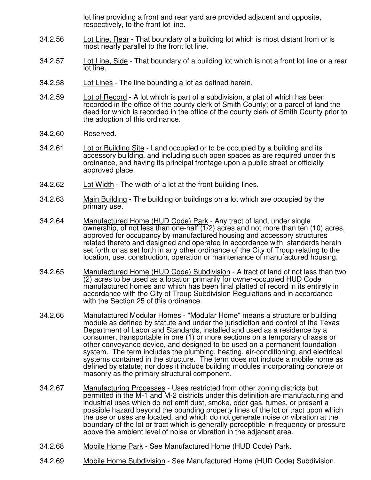lot line providing a front and rear yard are provided adjacent and opposite, respectively, to the front lot line.

- 34.2.56 Lot Line, Rear That boundary of a building lot which is most distant from or is most nearly parallel to the front lot line.
- 34.2.57 Lot Line, Side That boundary of a building lot which is not a front lot line or a rear lot line.
- 34.2.58 Lot Lines The line bounding a lot as defined herein.
- 34.2.59 Lot of Record A lot which is part of a subdivision, a plat of which has been recorded in the office of the county clerk of Smith County; or a parcel of land the deed for which is recorded in the office of the county clerk of Smith County prior to the adoption of this ordinance.
- 34.2.60 Reserved.
- 34.2.61 Lot or Building Site Land occupied or to be occupied by a building and its accessory building, and including such open spaces as are required under this ordinance, and having its principal frontage upon a public street or officially approved place.
- 34.2.62 Lot Width The width of a lot at the front building lines.
- 34.2.63 Main Building The building or buildings on a lot which are occupied by the primary use.
- 34.2.64 Manufactured Home (HUD Code) Park Any tract of land, under single ownership, of not less than one-half (1/2) acres and not more than ten (10) acres, approved for occupancy by manufactured housing and accessory structures related thereto and designed and operated in accordance with standards herein set forth or as set forth in any other ordinance of the City of Troup relating to the location, use, construction, operation or maintenance of manufactured housing.
- 34.2.65 Manufactured Home (HUD Code) Subdivision A tract of land of not less than two (2) acres to be used as a location primarily for owner-occupied HUD Code manufactured homes and which has been final platted of record in its entirety in accordance with the City of Troup Subdivision Regulations and in accordance with the Section 25 of this ordinance.
- 34.2.66 Manufactured Modular Homes "Modular Home" means a structure or building module as defined by statute and under the jurisdiction and control of the Texas Department of Labor and Standards, installed and used as a residence by a consumer, transportable in one (1) or more sections on a temporary chassis or other conveyance device, and designed to be used on a permanent foundation system. The term includes the plumbing, heating, air-conditioning, and electrical systems contained in the structure. The term does not include a mobile home as defined by statute; nor does it include building modules incorporating concrete or masonry as the primary structural component.
- 34.2.67 Manufacturing Processes Uses restricted from other zoning districts but permitted in the M-1 and M-2 districts under this definition are manufacturing and industrial uses which do not emit dust, smoke, odor gas, fumes, or present a possible hazard beyond the bounding property lines of the lot or tract upon which the use or uses are located, and which do not generate noise or vibration at the boundary of the lot or tract which is generally perceptible in frequency or pressure above the ambient level of noise or vibration in the adjacent area.
- 34.2.68 Mobile Home Park See Manufactured Home (HUD Code) Park.
- 34.2.69 Mobile Home Subdivision See Manufactured Home (HUD Code) Subdivision.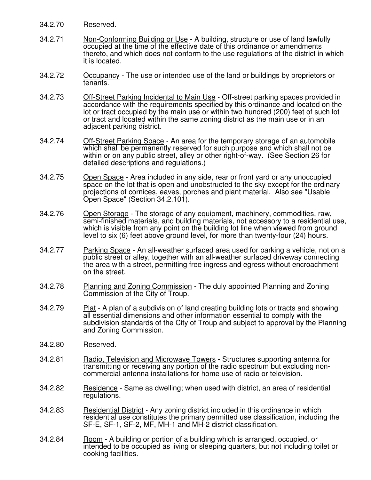- 34.2.70 Reserved.
- 34.2.71 Non-Conforming Building or Use A building, structure or use of land lawfully occupied at the time of the effective date of this ordinance or amendments thereto, and which does not conform to the use regulations of the district in which it is located.
- 34.2.72 Occupancy The use or intended use of the land or buildings by proprietors or tenants.
- 34.2.73 Off-Street Parking Incidental to Main Use Off-street parking spaces provided in accordance with the requirements specified by this ordinance and located on the lot or tract occupied by the main use or within two hundred (200) feet of such lot or tract and located within the same zoning district as the main use or in an adjacent parking district.
- 34.2.74 Off-Street Parking Space An area for the temporary storage of an automobile which shall be permanently reserved for such purpose and which shall not be within or on any public street, alley or other right-of-way. (See Section 26 for detailed descriptions and regulations.)
- 34.2.75 Open Space Area included in any side, rear or front yard or any unoccupied space on the lot that is open and unobstructed to the sky except for the ordinary projections of cornices, eaves, porches and plant material. Also see "Usable Open Space" (Section 34.2.101).
- 34.2.76 Open Storage The storage of any equipment, machinery, commodities, raw, semi-finished materials, and building materials, not accessory to a residential use, which is visible from any point on the building lot line when viewed from ground level to six (6) feet above ground level, for more than twenty-four (24) hours.
- 34.2.77 Parking Space An all-weather surfaced area used for parking a vehicle, not on a public street or alley, together with an all-weather surfaced driveway connecting the area with a street, permitting free ingress and egress without encroachment on the street.
- 34.2.78 Planning and Zoning Commission The duly appointed Planning and Zoning Commission of the City of Troup.
- 34.2.79 Plat A plan of a subdivision of land creating building lots or tracts and showing all essential dimensions and other information essential to comply with the subdivision standards of the City of Troup and subject to approval by the Planning and Zoning Commission.
- 34.2.80 Reserved.
- 34.2.81 Radio, Television and Microwave Towers Structures supporting antenna for transmitting or receiving any portion of the radio spectrum but excluding noncommercial antenna installations for home use of radio or television.
- 34.2.82 Residence Same as dwelling; when used with district, an area of residential regulations.
- 34.2.83 Residential District Any zoning district included in this ordinance in which residential use constitutes the primary permitted use classification, including the SF-E, SF-1, SF-2, MF, MH-1 and MH-2 district classification.
- 34.2.84 Room A building or portion of a building which is arranged, occupied, or intended to be occupied as living or sleeping quarters, but not including toilet or cooking facilities.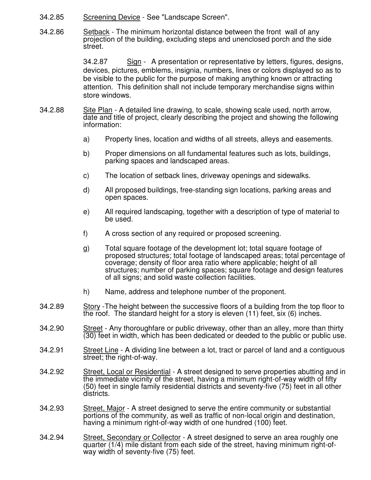- 34.2.85 Screening Device See "Landscape Screen".
- 34.2.86 Setback The minimum horizontal distance between the front wall of any projection of the building, excluding steps and unenclosed porch and the side street.

 34.2.87 Sign - A presentation or representative by letters, figures, designs, devices, pictures, emblems, insignia, numbers, lines or colors displayed so as to be visible to the public for the purpose of making anything known or attracting attention. This definition shall not include temporary merchandise signs within store windows.

- 34.2.88 Site Plan A detailed line drawing, to scale, showing scale used, north arrow, date and title of project, clearly describing the project and showing the following information:
	- a) Property lines, location and widths of all streets, alleys and easements.
	- b) Proper dimensions on all fundamental features such as lots, buildings, parking spaces and landscaped areas.
	- c) The location of setback lines, driveway openings and sidewalks.
	- d) All proposed buildings, free-standing sign locations, parking areas and open spaces.
	- e) All required landscaping, together with a description of type of material to be used.
	- f) A cross section of any required or proposed screening.
	- g) Total square footage of the development lot; total square footage of proposed structures; total footage of landscaped areas; total percentage of coverage; density of floor area ratio where applicable; height of all structures; number of parking spaces; square footage and design features of all signs; and solid waste collection facilities.
	- h) Name, address and telephone number of the proponent.
- 34.2.89 Story -The height between the successive floors of a building from the top floor to the roof. The standard height for a story is eleven (11) feet, six (6) inches.
- 34.2.90 Street Any thoroughfare or public driveway, other than an alley, more than thirty (30) feet in width, which has been dedicated or deeded to the public or public use.
- 34.2.91 Street Line A dividing line between a lot, tract or parcel of land and a contiguous street; the right-of-way.
- 34.2.92 Street, Local or Residential A street designed to serve properties abutting and in the immediate vicinity of the street, having a minimum right-of-way width of fifty (50) feet in single family residential districts and seventy-five (75) feet in all other districts.
- 34.2.93 Street, Major A street designed to serve the entire community or substantial portions of the community, as well as traffic of non-local origin and destination, having a minimum right-of-way width of one hundred (100) feet.
- 34.2.94 Street, Secondary or Collector A street designed to serve an area roughly one quarter (1/4) mile distant from each side of the street, having minimum right-ofway width of seventy-five (75) feet.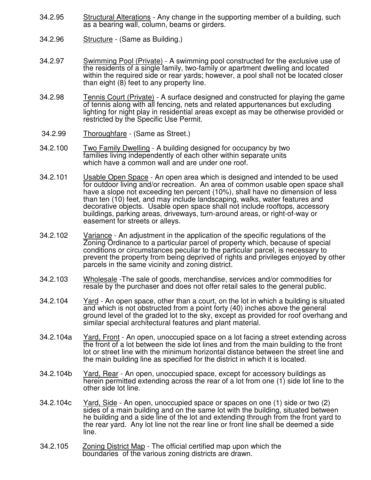- 34.2.95 Structural Alterations Any change in the supporting member of a building, such as a bearing wall, column, beams or girders.
- 34.2.96 **Structure** (Same as Building.)
- 34.2.97 Swimming Pool (Private) A swimming pool constructed for the exclusive use of the residents of a single family, two-family or apartment dwelling and located within the required side or rear yards; however, a pool shall not be located closer than eight (8) feet to any property line.
- 34.2.98 Tennis Court (Private) A surface designed and constructed for playing the game of tennis along with all fencing, nets and related appurtenances but excluding lighting for night play in residential areas except as may be otherwise provided or restricted by the Specific Use Permit.
- 34.2.99 Thoroughfare (Same as Street.)
- 34.2.100 Two Family Dwelling A building designed for occupancy by two families living independently of each other within separate units which have a common wall and are under one roof.
- 34.2.101 Usable Open Space An open area which is designed and intended to be used for outdoor living and/or recreation. An area of common usable open space shall have a slope not exceeding ten percent (10%), shall have no dimension of less than ten (10) feet, and may include landscaping, walks, water features and decorative objects. Usable open space shall not include rooftops, accessory buildings, parking areas, driveways, turn-around areas, or right-of-way or easement for streets or alleys.
- 34.2.102 Variance An adjustment in the application of the specific regulations of the Zoning Ordinance to a particular parcel of property which, because of special conditions or circumstances peculiar to the particular parcel, is necessary to prevent the property from being deprived of rights and privileges enjoyed by other parcels in the same vicinity and zoning district.
- 34.2.103 Wholesale -The sale of goods, merchandise, services and/or commodities for resale by the purchaser and does not offer retail sales to the general public.
- 34.2.104 Yard An open space, other than a court, on the lot in which a building is situated and which is not obstructed from a point forty (40) inches above the general ground level of the graded lot to the sky, except as provided for roof overhang and similar special architectural features and plant material.
- 34.2.104a Yard, Front An open, unoccupied space on a lot facing a street extending across the front of a lot between the side lot lines and from the main building to the front lot or street line with the minimum horizontal distance between the street line and the main building line as specified for the district in which it is located.
- 34.2.104b Yard, Rear An open, unoccupied space, except for accessory buildings as herein permitted extending across the rear of a lot from one (1) side lot line to the other side lot line.
- 34.2.104c Yard, Side An open, unoccupied space or spaces on one (1) side or two (2) sides of a main building and on the same lot with the building, situated between he building and a side line of the lot and extending through from the front yard to the rear yard. Any lot line not the rear line or front line shall be deemed a side line.
- 34.2.105 Zoning District Map The official certified map upon which the boundaries of the various zoning districts are drawn.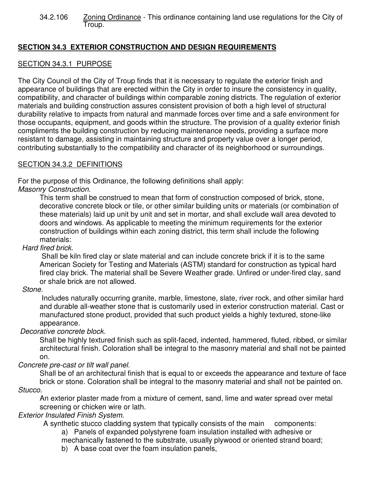34.2.106 Zoning Ordinance - This ordinance containing land use regulations for the City of Troup.

# **SECTION 34.3 EXTERIOR CONSTRUCTION AND DESIGN REQUIREMENTS**

## SECTION 34.3.1 PURPOSE

The City Council of the City of Troup finds that it is necessary to regulate the exterior finish and appearance of buildings that are erected within the City in order to insure the consistency in quality, compatibility, and character of buildings within comparable zoning districts. The regulation of exterior materials and building construction assures consistent provision of both a high level of structural durability relative to impacts from natural and manmade forces over time and a safe environment for those occupants, equipment, and goods within the structure. The provision of a quality exterior finish compliments the building construction by reducing maintenance needs, providing a surface more resistant to damage, assisting in maintaining structure and property value over a longer period, contributing substantially to the compatibility and character of its neighborhood or surroundings.

# SECTION 34.3.2 DEFINITIONS

For the purpose of this Ordinance, the following definitions shall apply: Masonry Construction.

This term shall be construed to mean that form of construction composed of brick, stone, decorative concrete block or tile, or other similar building units or materials (or combination of these materials) laid up unit by unit and set in mortar, and shall exclude wall area devoted to doors and windows. As applicable to meeting the minimum requirements for the exterior construction of buildings within each zoning district, this term shall include the following materials:

## Hard fired brick.

 Shall be kiln fired clay or slate material and can include concrete brick if it is to the same American Society for Testing and Materials (ASTM) standard for construction as typical hard fired clay brick. The material shall be Severe Weather grade. Unfired or under-fired clay, sand or shale brick are not allowed.

## Stone.

 Includes naturally occurring granite, marble, limestone, slate, river rock, and other similar hard and durable all-weather stone that is customarily used in exterior construction material. Cast or manufactured stone product, provided that such product yields a highly textured, stone-like appearance.

Decorative concrete block.

Shall be highly textured finish such as split-faced, indented, hammered, fluted, ribbed, or similar architectural finish. Coloration shall be integral to the masonry material and shall not be painted on.

## Concrete pre-cast or tilt wall panel.

Shall be of an architectural finish that is equal to or exceeds the appearance and texture of face brick or stone. Coloration shall be integral to the masonry material and shall not be painted on. Stucco.

An exterior plaster made from a mixture of cement, sand, lime and water spread over metal screening or chicken wire or lath.

## Exterior Insulated Finish System.

A synthetic stucco cladding system that typically consists of the main components:

a) Panels of expanded polystyrene foam insulation installed with adhesive or

mechanically fastened to the substrate, usually plywood or oriented strand board;

b) A base coat over the foam insulation panels,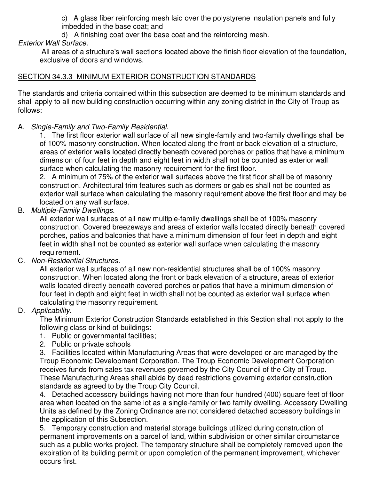c) A glass fiber reinforcing mesh laid over the polystyrene insulation panels and fully imbedded in the base coat; and

d) A finishing coat over the base coat and the reinforcing mesh.

# Exterior Wall Surface.

All areas of a structure's wall sections located above the finish floor elevation of the foundation, exclusive of doors and windows.

# SECTION 34.3.3 MINIMUM EXTERIOR CONSTRUCTION STANDARDS

The standards and criteria contained within this subsection are deemed to be minimum standards and shall apply to all new building construction occurring within any zoning district in the City of Troup as follows:

# A. Single-Family and Two-Family Residential.

1. The first floor exterior wall surface of all new single-family and two-family dwellings shall be of 100% masonry construction. When located along the front or back elevation of a structure, areas of exterior walls located directly beneath covered porches or patios that have a minimum dimension of four feet in depth and eight feet in width shall not be counted as exterior wall surface when calculating the masonry requirement for the first floor.

2. A minimum of 75% of the exterior wall surfaces above the first floor shall be of masonry construction. Architectural trim features such as dormers or gables shall not be counted as exterior wall surface when calculating the masonry requirement above the first floor and may be located on any wall surface.

# B. Multiple-Family Dwellings.

All exterior wall surfaces of all new multiple-family dwellings shall be of 100% masonry construction. Covered breezeways and areas of exterior walls located directly beneath covered porches, patios and balconies that have a minimum dimension of four feet in depth and eight feet in width shall not be counted as exterior wall surface when calculating the masonry requirement.

# C. Non-Residential Structures.

All exterior wall surfaces of all new non-residential structures shall be of 100% masonry construction. When located along the front or back elevation of a structure, areas of exterior walls located directly beneath covered porches or patios that have a minimum dimension of four feet in depth and eight feet in width shall not be counted as exterior wall surface when calculating the masonry requirement.

# D. Applicability.

The Minimum Exterior Construction Standards established in this Section shall not apply to the following class or kind of buildings:

- 1. Public or governmental facilities;
- 2. Public or private schools

3. Facilities located within Manufacturing Areas that were developed or are managed by the Troup Economic Development Corporation. The Troup Economic Development Corporation receives funds from sales tax revenues governed by the City Council of the City of Troup. These Manufacturing Areas shall abide by deed restrictions governing exterior construction standards as agreed to by the Troup City Council.

4. Detached accessory buildings having not more than four hundred (400) square feet of floor area when located on the same lot as a single-family or two family dwelling. Accessory Dwelling Units as defined by the Zoning Ordinance are not considered detached accessory buildings in the application of this Subsection.

5. Temporary construction and material storage buildings utilized during construction of permanent improvements on a parcel of land, within subdivision or other similar circumstance such as a public works project. The temporary structure shall be completely removed upon the expiration of its building permit or upon completion of the permanent improvement, whichever occurs first.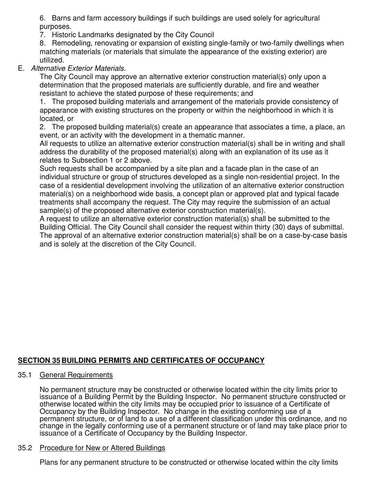6. Barns and farm accessory buildings if such buildings are used solely for agricultural purposes.

7. Historic Landmarks designated by the City Council

8. Remodeling, renovating or expansion of existing single-family or two-family dwellings when matching materials (or materials that simulate the appearance of the existing exterior) are utilized.

# E. Alternative Exterior Materials.

The City Council may approve an alternative exterior construction material(s) only upon a determination that the proposed materials are sufficiently durable, and fire and weather resistant to achieve the stated purpose of these requirements; and

1. The proposed building materials and arrangement of the materials provide consistency of appearance with existing structures on the property or within the neighborhood in which it is located, or

2. The proposed building material(s) create an appearance that associates a time, a place, an event, or an activity with the development in a thematic manner.

All requests to utilize an alternative exterior construction material(s) shall be in writing and shall address the durability of the proposed material(s) along with an explanation of its use as it relates to Subsection 1 or 2 above.

Such requests shall be accompanied by a site plan and a facade plan in the case of an individual structure or group of structures developed as a single non-residential project. In the case of a residential development involving the utilization of an alternative exterior construction material(s) on a neighborhood wide basis, a concept plan or approved plat and typical facade treatments shall accompany the request. The City may require the submission of an actual sample(s) of the proposed alternative exterior construction material(s).

A request to utilize an alternative exterior construction material(s) shall be submitted to the Building Official. The City Council shall consider the request within thirty (30) days of submittal. The approval of an alternative exterior construction material(s) shall be on a case-by-case basis and is solely at the discretion of the City Council.

# **SECTION 35 BUILDING PERMITS AND CERTIFICATES OF OCCUPANCY**

## 35.1 General Requirements

No permanent structure may be constructed or otherwise located within the city limits prior to issuance of a Building Permit by the Building Inspector. No permanent structure constructed or otherwise located within the city limits may be occupied prior to issuance of a Certificate of Occupancy by the Building Inspector. No change in the existing conforming use of a permanent structure, or of land to a use of a different classification under this ordinance, and no change in the legally conforming use of a permanent structure or of land may take place prior to issuance of a Certificate of Occupancy by the Building Inspector.

## 35.2 Procedure for New or Altered Buildings

Plans for any permanent structure to be constructed or otherwise located within the city limits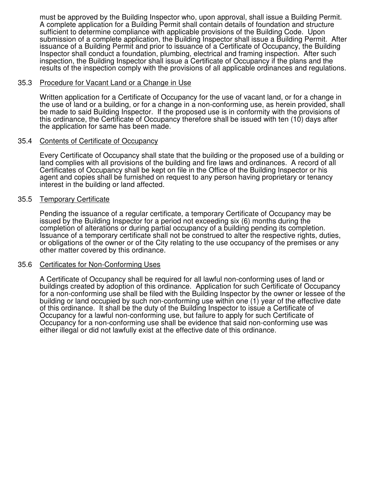must be approved by the Building Inspector who, upon approval, shall issue a Building Permit. A complete application for a Building Permit shall contain details of foundation and structure sufficient to determine compliance with applicable provisions of the Building Code. Upon submission of a complete application, the Building Inspector shall issue a Building Permit. After issuance of a Building Permit and prior to issuance of a Certificate of Occupancy, the Building Inspector shall conduct a foundation, plumbing, electrical and framing inspection. After such inspection, the Building Inspector shall issue a Certificate of Occupancy if the plans and the results of the inspection comply with the provisions of all applicable ordinances and regulations.

#### 35.3 Procedure for Vacant Land or a Change in Use

Written application for a Certificate of Occupancy for the use of vacant land, or for a change in the use of land or a building, or for a change in a non-conforming use, as herein provided, shall be made to said Building Inspector. If the proposed use is in conformity with the provisions of this ordinance, the Certificate of Occupancy therefore shall be issued with ten (10) days after the application for same has been made.

### 35.4 Contents of Certificate of Occupancy

Every Certificate of Occupancy shall state that the building or the proposed use of a building or land complies with all provisions of the building and fire laws and ordinances. A record of all Certificates of Occupancy shall be kept on file in the Office of the Building Inspector or his agent and copies shall be furnished on request to any person having proprietary or tenancy interest in the building or land affected.

### 35.5 Temporary Certificate

Pending the issuance of a regular certificate, a temporary Certificate of Occupancy may be issued by the Building Inspector for a period not exceeding six (6) months during the completion of alterations or during partial occupancy of a building pending its completion. Issuance of a temporary certificate shall not be construed to alter the respective rights, duties, or obligations of the owner or of the City relating to the use occupancy of the premises or any other matter covered by this ordinance.

#### 35.6 Certificates for Non-Conforming Uses

A Certificate of Occupancy shall be required for all lawful non-conforming uses of land or buildings created by adoption of this ordinance. Application for such Certificate of Occupancy for a non-conforming use shall be filed with the Building Inspector by the owner or lessee of the building or land occupied by such non-conforming use within one (1) year of the effective date of this ordinance. It shall be the duty of the Building Inspector to issue a Certificate of Occupancy for a lawful non-conforming use, but failure to apply for such Certificate of Occupancy for a non-conforming use shall be evidence that said non-conforming use was either illegal or did not lawfully exist at the effective date of this ordinance.